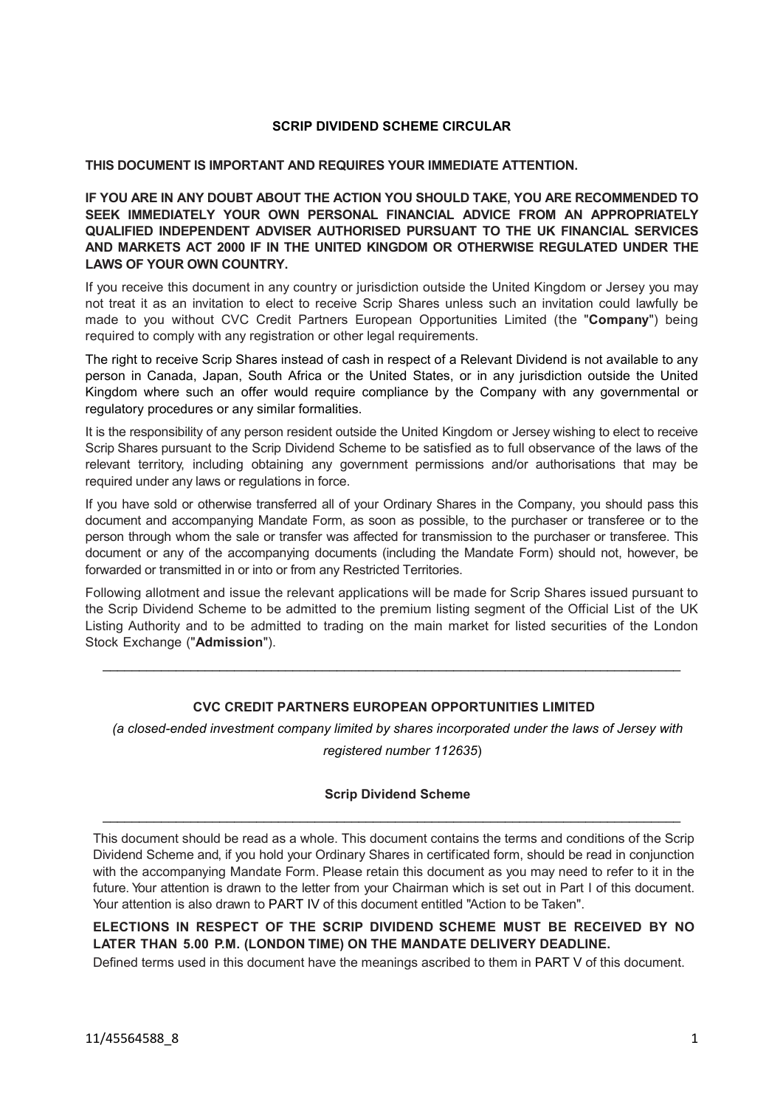## **SCRIP DIVIDEND SCHEME CIRCULAR**

## **THIS DOCUMENT IS IMPORTANT AND REQUIRES YOUR IMMEDIATE ATTENTION.**

**IF YOU ARE IN ANY DOUBT ABOUT THE ACTION YOU SHOULD TAKE, YOU ARE RECOMMENDED TO SEEK IMMEDIATELY YOUR OWN PERSONAL FINANCIAL ADVICE FROM AN APPROPRIATELY QUALIFIED INDEPENDENT ADVISER AUTHORISED PURSUANT TO THE UK FINANCIAL SERVICES AND MARKETS ACT 2000 IF IN THE UNITED KINGDOM OR OTHERWISE REGULATED UNDER THE LAWS OF YOUR OWN COUNTRY.**

If you receive this document in any country or jurisdiction outside the United Kingdom or Jersey you may not treat it as an invitation to elect to receive Scrip Shares unless such an invitation could lawfully be made to you without CVC Credit Partners European Opportunities Limited (the "**Company**") being required to comply with any registration or other legal requirements.

The right to receive Scrip Shares instead of cash in respect of a Relevant Dividend is not available to any person in Canada, Japan, South Africa or the United States, or in any jurisdiction outside the United Kingdom where such an offer would require compliance by the Company with any governmental or regulatory procedures or any similar formalities.

It is the responsibility of any person resident outside the United Kingdom or Jersey wishing to elect to receive Scrip Shares pursuant to the Scrip Dividend Scheme to be satisfied as to full observance of the laws of the relevant territory, including obtaining any government permissions and/or authorisations that may be required under any laws or regulations in force.

If you have sold or otherwise transferred all of your Ordinary Shares in the Company, you should pass this document and accompanying Mandate Form, as soon as possible, to the purchaser or transferee or to the person through whom the sale or transfer was affected for transmission to the purchaser or transferee. This document or any of the accompanying documents (including the Mandate Form) should not, however, be forwarded or transmitted in or into or from any Restricted Territories.

Following allotment and issue the relevant applications will be made for Scrip Shares issued pursuant to the Scrip Dividend Scheme to be admitted to the premium listing segment of the Official List of the UK Listing Authority and to be admitted to trading on the main market for listed securities of the London Stock Exchange ("**Admission**").

 $\_$  ,  $\_$  ,  $\_$  ,  $\_$  ,  $\_$  ,  $\_$  ,  $\_$  ,  $\_$  ,  $\_$  ,  $\_$  ,  $\_$  ,  $\_$  ,  $\_$  ,  $\_$  ,  $\_$  ,  $\_$  ,  $\_$  ,  $\_$  ,  $\_$  ,  $\_$  ,  $\_$  ,  $\_$  ,  $\_$  ,  $\_$  ,  $\_$  ,  $\_$  ,  $\_$  ,  $\_$  ,  $\_$  ,  $\_$  ,  $\_$  ,  $\_$  ,  $\_$  ,  $\_$  ,  $\_$  ,  $\_$  ,  $\_$  ,

# **CVC CREDIT PARTNERS EUROPEAN OPPORTUNITIES LIMITED**

*(a closed-ended investment company limited by shares incorporated under the laws of Jersey with*

*registered number 112635*)

## **Scrip Dividend Scheme**

 $\_$  ,  $\_$  ,  $\_$  ,  $\_$  ,  $\_$  ,  $\_$  ,  $\_$  ,  $\_$  ,  $\_$  ,  $\_$  ,  $\_$  ,  $\_$  ,  $\_$  ,  $\_$  ,  $\_$  ,  $\_$  ,  $\_$  ,  $\_$  ,  $\_$  ,  $\_$  ,  $\_$  ,  $\_$  ,  $\_$  ,  $\_$  ,  $\_$  ,  $\_$  ,  $\_$  ,  $\_$  ,  $\_$  ,  $\_$  ,  $\_$  ,  $\_$  ,  $\_$  ,  $\_$  ,  $\_$  ,  $\_$  ,  $\_$  ,

This document should be read as a whole. This document contains the terms and conditions of the Scrip Dividend Scheme and, if you hold your Ordinary Shares in certificated form, should be read in conjunction with the accompanying Mandate Form. Please retain this document as you may need to refer to it in the future. Your attention is drawn to the letter from your Chairman which is set out in Part I of this document. Your attention is also drawn to [PART IV](#page-14-0) of this document entitled "Action to be Taken".

**ELECTIONS IN RESPECT OF THE SCRIP DIVIDEND SCHEME MUST BE RECEIVED BY NO LATER THAN 5.00 P.M. (LONDON TIME) ON THE MANDATE DELIVERY DEADLINE.**

Defined terms used in this document have the meanings ascribed to them in [PART V](#page-16-0) of this document.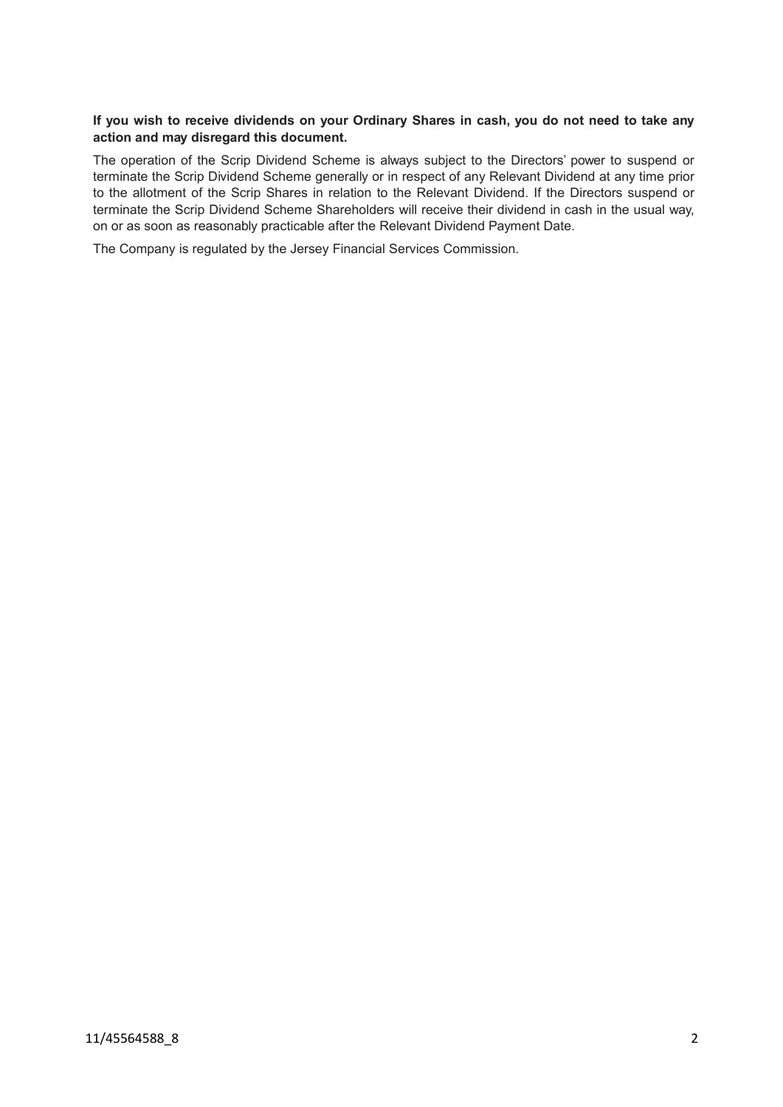# If you wish to receive dividends on your Ordinary Shares in cash, you do not need to take any **action and may disregard this document.**

The operation of the Scrip Dividend Scheme is always subject to the Directors' power to suspend or terminate the Scrip Dividend Scheme generally or in respect of any Relevant Dividend at any time prior to the allotment of the Scrip Shares in relation to the Relevant Dividend. If the Directors suspend or terminate the Scrip Dividend Scheme Shareholders will receive their dividend in cash in the usual way, on or as soon as reasonably practicable after the Relevant Dividend Payment Date.

The Company is regulated by the Jersey Financial Services Commission.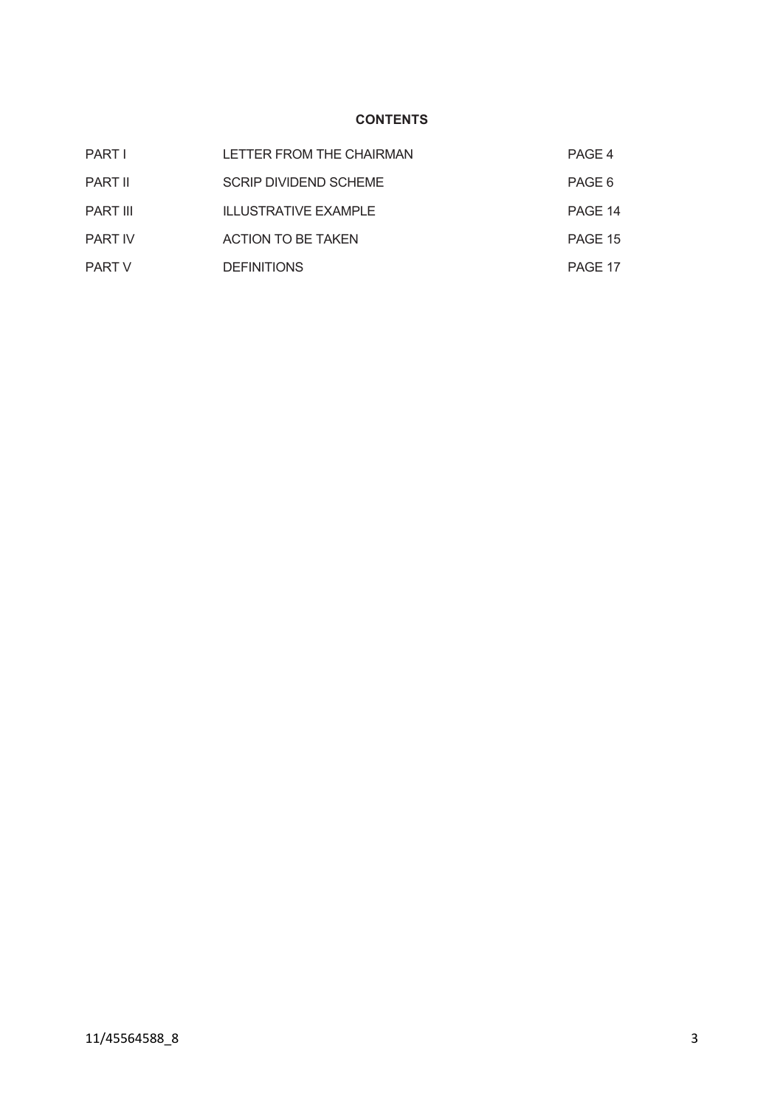# **CONTENTS**

| <b>PART I</b>   | LETTER FROM THE CHAIRMAN     | PAGE 4  |
|-----------------|------------------------------|---------|
| <b>PART II</b>  | <b>SCRIP DIVIDEND SCHEME</b> | PAGE 6  |
| <b>PART III</b> | <b>ILLUSTRATIVE EXAMPLE</b>  | PAGE 14 |
| <b>PART IV</b>  | ACTION TO BE TAKEN           | PAGE 15 |
| <b>PART V</b>   | <b>DEFINITIONS</b>           | PAGE 17 |
|                 |                              |         |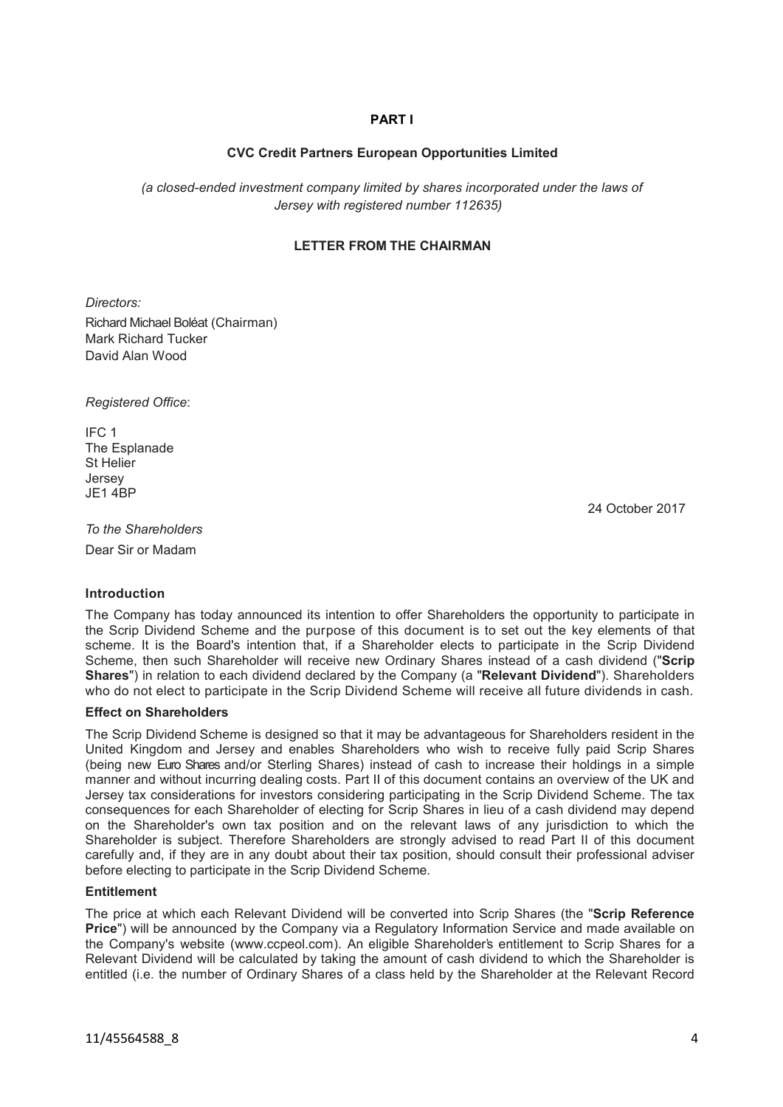# <span id="page-3-0"></span>**PART I**

## **CVC Credit Partners European Opportunities Limited**

 *(a closed-ended investment company limited by shares incorporated under the laws of Jersey with registered number 112635)*

## **LETTER FROM THE CHAIRMAN**

*Directors:* 

Richard Michael Boléat (Chairman) Mark Richard Tucker David Alan Wood

*Registered Office*:

IFC 1 The Esplanade St Helier Jersey  $JF1$  4BP

24 October 2017

*To the Shareholders* Dear Sir or Madam

### **Introduction**

The Company has today announced its intention to offer Shareholders the opportunity to participate in the Scrip Dividend Scheme and the purpose of this document is to set out the key elements of that scheme. It is the Board's intention that, if a Shareholder elects to participate in the Scrip Dividend Scheme, then such Shareholder will receive new Ordinary Shares instead of a cash dividend ("**Scrip Shares**") in relation to each dividend declared by the Company (a "**Relevant Dividend**"). Shareholders who do not elect to participate in the Scrip Dividend Scheme will receive all future dividends in cash.

## **Effect on Shareholders**

The Scrip Dividend Scheme is designed so that it may be advantageous for Shareholders resident in the United Kingdom and Jersey and enables Shareholders who wish to receive fully paid Scrip Shares (being new Euro Shares and/or Sterling Shares) instead of cash to increase their holdings in a simple manner and without incurring dealing costs. Part II of this document contains an overview of the UK and Jersey tax considerations for investors considering participating in the Scrip Dividend Scheme. The tax consequences for each Shareholder of electing for Scrip Shares in lieu of a cash dividend may depend on the Shareholder's own tax position and on the relevant laws of any jurisdiction to which the Shareholder is subject. Therefore Shareholders are strongly advised to read Part II of this document carefully and, if they are in any doubt about their tax position, should consult their professional adviser before electing to participate in the Scrip Dividend Scheme.

## **Entitlement**

The price at which each Relevant Dividend will be converted into Scrip Shares (the "**Scrip Reference Price**") will be announced by the Company via a Regulatory Information Service and made available on the Company's website (www.ccpeol.com). An eligible Shareholder's entitlement to Scrip Shares for a Relevant Dividend will be calculated by taking the amount of cash dividend to which the Shareholder is entitled (i.e. the number of Ordinary Shares of a class held by the Shareholder at the Relevant Record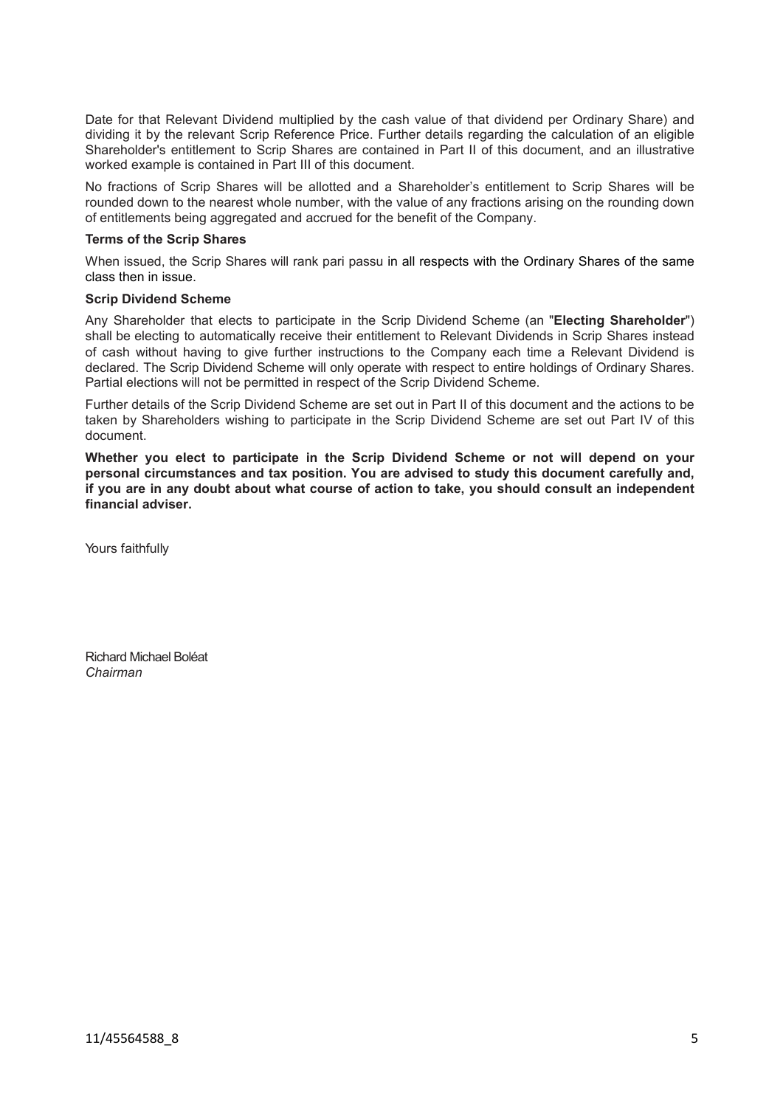Date for that Relevant Dividend multiplied by the cash value of that dividend per Ordinary Share) and dividing it by the relevant Scrip Reference Price. Further details regarding the calculation of an eligible Shareholder's entitlement to Scrip Shares are contained in Part II of this document, and an illustrative worked example is contained in Part III of this document.

No fractions of Scrip Shares will be allotted and a Shareholder's entitlement to Scrip Shares will be rounded down to the nearest whole number, with the value of any fractions arising on the rounding down of entitlements being aggregated and accrued for the benefit of the Company.

### **Terms of the Scrip Shares**

When issued, the Scrip Shares will rank pari passu in all respects with the Ordinary Shares of the same class then in issue.

### **Scrip Dividend Scheme**

Any Shareholder that elects to participate in the Scrip Dividend Scheme (an "**Electing Shareholder**") shall be electing to automatically receive their entitlement to Relevant Dividends in Scrip Shares instead of cash without having to give further instructions to the Company each time a Relevant Dividend is declared. The Scrip Dividend Scheme will only operate with respect to entire holdings of Ordinary Shares. Partial elections will not be permitted in respect of the Scrip Dividend Scheme.

Further details of the Scrip Dividend Scheme are set out in Part II of this document and the actions to be taken by Shareholders wishing to participate in the Scrip Dividend Scheme are set out Part IV of this document.

**Whether you elect to participate in the Scrip Dividend Scheme or not will depend on your personal circumstances and tax position. You are advised to study this document carefully and, if you are in any doubt about what course of action to take, you should consult an independent financial adviser.** 

Yours faithfully

Richard Michael Boléat *Chairman*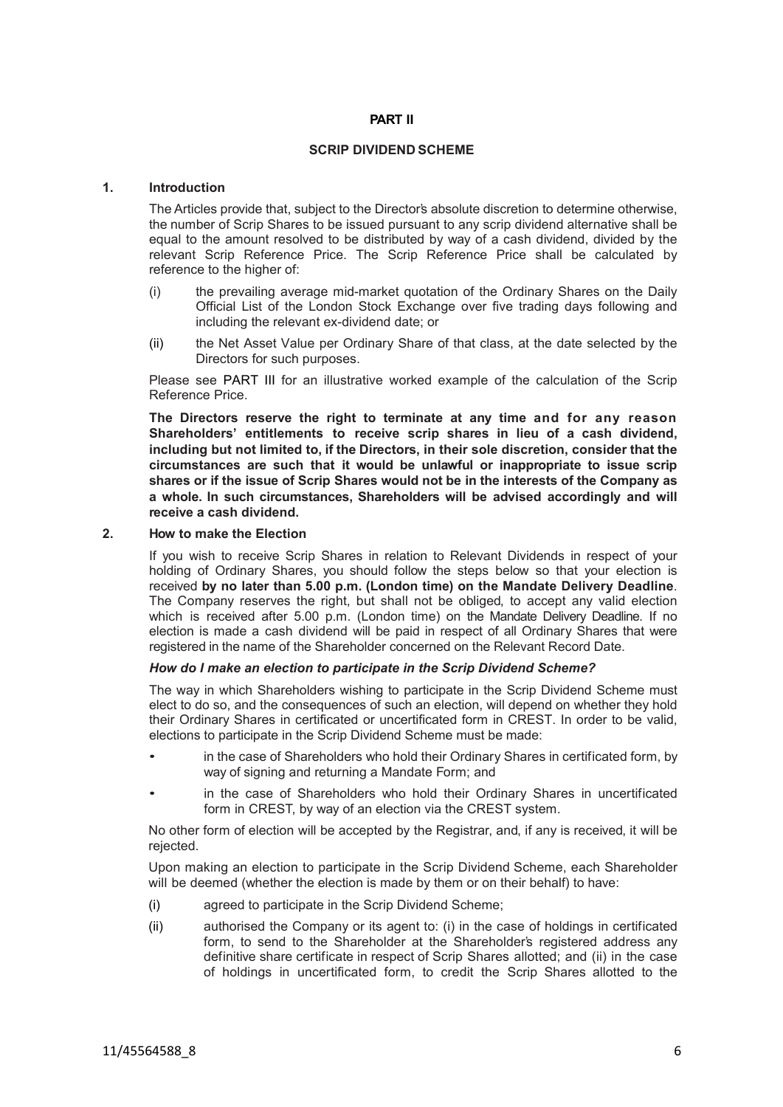## **PART II**

#### **SCRIP DIVIDEND SCHEME**

#### **1. Introduction**

The Articles provide that, subject to the Director's absolute discretion to determine otherwise, the number of Scrip Shares to be issued pursuant to any scrip dividend alternative shall be equal to the amount resolved to be distributed by way of a cash dividend, divided by the relevant Scrip Reference Price. The Scrip Reference Price shall be calculated by reference to the higher of:

- (i) the prevailing average mid-market quotation of the Ordinary Shares on the Daily Official List of the London Stock Exchange over five trading days following and including the relevant ex-dividend date; or
- (ii) the Net Asset Value per Ordinary Share of that class, at the date selected by the Directors for such purposes.

Please see [PART III](#page-13-0) for an illustrative worked example of the calculation of the Scrip Reference Price.

**The Directors reserve the right to terminate at any time and for any reason Shareholders' entitlements to receive scrip shares in lieu of a cash dividend, including but not limited to, if the Directors, in their sole discretion, consider that the circumstances are such that it would be unlawful or inappropriate to issue scrip shares or if the issue of Scrip Shares would not be in the interests of the Company as a whole. In such circumstances, Shareholders will be advised accordingly and will receive a cash dividend.**

### **2. How to make the Election**

If you wish to receive Scrip Shares in relation to Relevant Dividends in respect of your holding of Ordinary Shares, you should follow the steps below so that your election is received **by no later than 5.00 p.m. (London time) on the Mandate Delivery Deadline**. The Company reserves the right, but shall not be obliged, to accept any valid election which is received after 5.00 p.m. (London time) on the Mandate Delivery Deadline. If no election is made a cash dividend will be paid in respect of all Ordinary Shares that were registered in the name of the Shareholder concerned on the Relevant Record Date.

## *How do I make an election to participate in the Scrip Dividend Scheme?*

The way in which Shareholders wishing to participate in the Scrip Dividend Scheme must elect to do so, and the consequences of such an election, will depend on whether they hold their Ordinary Shares in certificated or uncertificated form in CREST. In order to be valid, elections to participate in the Scrip Dividend Scheme must be made:

- in the case of Shareholders who hold their Ordinary Shares in certificated form, by way of signing and returning a Mandate Form; and
- in the case of Shareholders who hold their Ordinary Shares in uncertificated form in CREST, by way of an election via the CREST system.

No other form of election will be accepted by the Registrar, and, if any is received, it will be rejected.

Upon making an election to participate in the Scrip Dividend Scheme, each Shareholder will be deemed (whether the election is made by them or on their behalf) to have:

- (i) agreed to participate in the Scrip Dividend Scheme;
- (ii) authorised the Company or its agent to: (i) in the case of holdings in certificated form, to send to the Shareholder at the Shareholder's registered address any definitive share certificate in respect of Scrip Shares allotted; and (ii) in the case of holdings in uncertificated form, to credit the Scrip Shares allotted to the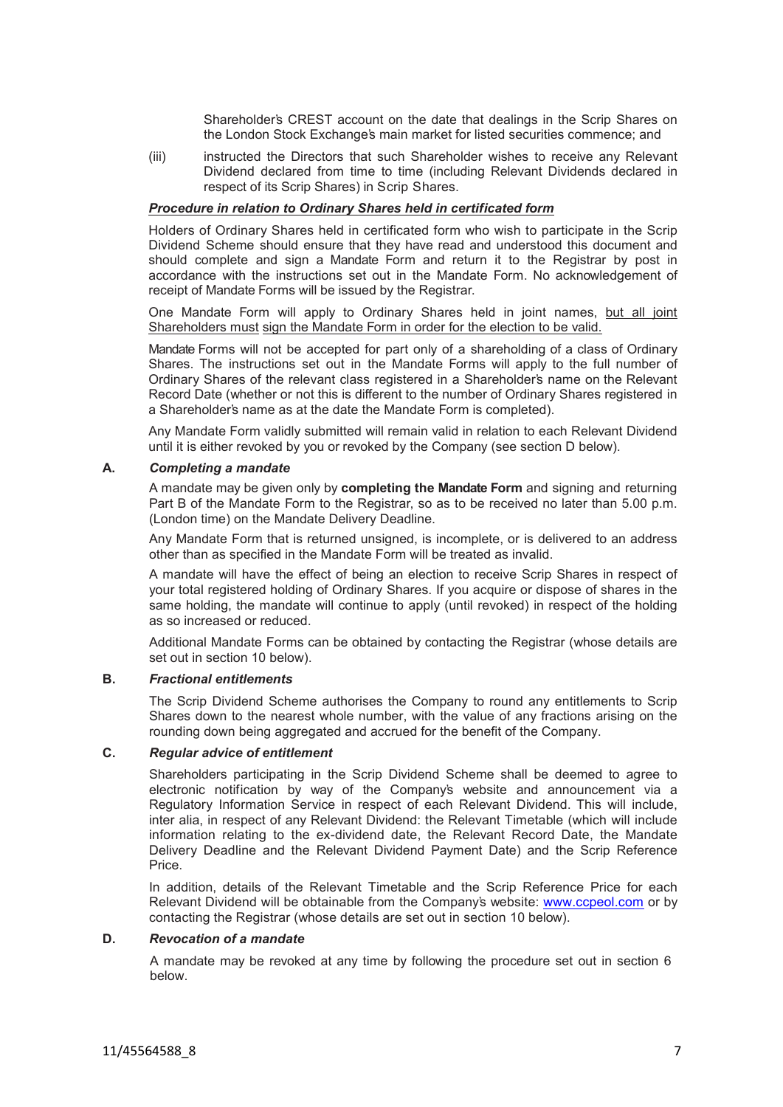Shareholder's CREST account on the date that dealings in the Scrip Shares on the London Stock Exchange's main market for listed securities commence; and

(iii) instructed the Directors that such Shareholder wishes to receive any Relevant Dividend declared from time to time (including Relevant Dividends declared in respect of its Scrip Shares) in Scrip Shares.

## *Procedure in relation to Ordinary Shares held in certificated form*

Holders of Ordinary Shares held in certificated form who wish to participate in the Scrip Dividend Scheme should ensure that they have read and understood this document and should complete and sign a Mandate Form and return it to the Registrar by post in accordance with the instructions set out in the Mandate Form. No acknowledgement of receipt of Mandate Forms will be issued by the Registrar.

One Mandate Form will apply to Ordinary Shares held in joint names, but all joint Shareholders must sign the Mandate Form in order for the election to be valid.

Mandate Forms will not be accepted for part only of a shareholding of a class of Ordinary Shares. The instructions set out in the Mandate Forms will apply to the full number of Ordinary Shares of the relevant class registered in a Shareholder's name on the Relevant Record Date (whether or not this is different to the number of Ordinary Shares registered in a Shareholder's name as at the date the Mandate Form is completed).

Any Mandate Form validly submitted will remain valid in relation to each Relevant Dividend until it is either revoked by you or revoked by the Company (see section [D](#page-6-0) below).

### **A.** *Completing a mandate*

A mandate may be given only by **completing the Mandate Form** and signing and returning Part B of the Mandate Form to the Registrar, so as to be received no later than 5.00 p.m. (London time) on the Mandate Delivery Deadline.

Any Mandate Form that is returned unsigned, is incomplete, or is delivered to an address other than as specified in the Mandate Form will be treated as invalid.

A mandate will have the effect of being an election to receive Scrip Shares in respect of your total registered holding of Ordinary Shares. If you acquire or dispose of shares in the same holding, the mandate will continue to apply (until revoked) in respect of the holding as so increased or reduced.

Additional Mandate Forms can be obtained by contacting the Registrar (whose details are set out in section 10 below).

#### **B.** *Fractional entitlements*

The Scrip Dividend Scheme authorises the Company to round any entitlements to Scrip Shares down to the nearest whole number, with the value of any fractions arising on the rounding down being aggregated and accrued for the benefit of the Company.

#### **C.** *Regular advice of entitlement*

Shareholders participating in the Scrip Dividend Scheme shall be deemed to agree to electronic notification by way of the Company's website and announcement via a Regulatory Information Service in respect of each Relevant Dividend. This will include, inter alia, in respect of any Relevant Dividend: the Relevant Timetable (which will include information relating to the ex-dividend date, the Relevant Record Date, the Mandate Delivery Deadline and the Relevant Dividend Payment Date) and the Scrip Reference Price.

In addition, details of the Relevant Timetable and the Scrip Reference Price for each Relevant Dividend will be obtainable from the Company's website: [www.ccpeol.com](http://www.ccpeol.com/) or by contacting the Registrar (whose details are set out in section [10](#page-12-0) below).

#### **D.** *Revocation of a mandate*

<span id="page-6-0"></span>A mandate may be revoked at any time by following the procedure set out in section [6](#page-9-0) below.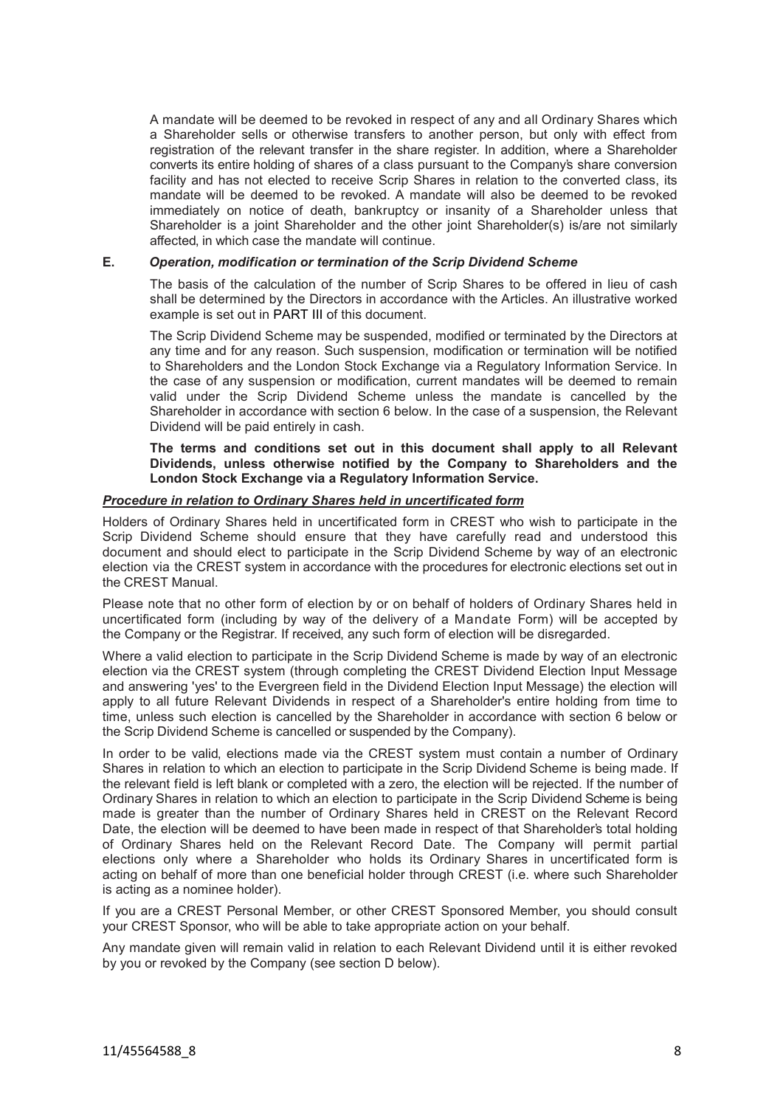A mandate will be deemed to be revoked in respect of any and all Ordinary Shares which a Shareholder sells or otherwise transfers to another person, but only with effect from registration of the relevant transfer in the share register. In addition, where a Shareholder converts its entire holding of shares of a class pursuant to the Company's share conversion facility and has not elected to receive Scrip Shares in relation to the converted class, its mandate will be deemed to be revoked. A mandate will also be deemed to be revoked immediately on notice of death, bankruptcy or insanity of a Shareholder unless that Shareholder is a joint Shareholder and the other joint Shareholder(s) is/are not similarly affected, in which case the mandate will continue.

### **E.** *Operation, modification or termination of the Scrip Dividend Scheme*

The basis of the calculation of the number of Scrip Shares to be offered in lieu of cash shall be determined by the Directors in accordance with the Articles. An illustrative worked example is set out in [PART III](#page-13-0) of this document.

The Scrip Dividend Scheme may be suspended, modified or terminated by the Directors at any time and for any reason. Such suspension, modification or termination will be notified to Shareholders and the London Stock Exchange via a Regulatory Information Service. In the case of any suspension or modification, current mandates will be deemed to remain valid under the Scrip Dividend Scheme unless the mandate is cancelled by the Shareholder in accordance with section [6](#page-9-0) below. In the case of a suspension, the Relevant Dividend will be paid entirely in cash.

**The terms and conditions set out in this document shall apply to all Relevant Dividends, unless otherwise notified by the Company to Shareholders and the London Stock Exchange via a Regulatory Information Service.**

## *Procedure in relation to Ordinary Shares held in uncertificated form*

Holders of Ordinary Shares held in uncertificated form in CREST who wish to participate in the Scrip Dividend Scheme should ensure that they have carefully read and understood this document and should elect to participate in the Scrip Dividend Scheme by way of an electronic election via the CREST system in accordance with the procedures for electronic elections set out in the CREST Manual.

Please note that no other form of election by or on behalf of holders of Ordinary Shares held in uncertificated form (including by way of the delivery of a Mandate Form) will be accepted by the Company or the Registrar. If received, any such form of election will be disregarded.

Where a valid election to participate in the Scrip Dividend Scheme is made by way of an electronic election via the CREST system (through completing the CREST Dividend Election Input Message and answering 'yes' to the Evergreen field in the Dividend Election Input Message) the election will apply to all future Relevant Dividends in respect of a Shareholder's entire holding from time to time, unless such election is cancelled by the Shareholder in accordance with section [6](#page-9-0) below or the Scrip Dividend Scheme is cancelled or suspended by the Company).

In order to be valid, elections made via the CREST system must contain a number of Ordinary Shares in relation to which an election to participate in the Scrip Dividend Scheme is being made. If the relevant field is left blank or completed with a zero, the election will be rejected. If the number of Ordinary Shares in relation to which an election to participate in the Scrip Dividend Scheme is being made is greater than the number of Ordinary Shares held in CREST on the Relevant Record Date, the election will be deemed to have been made in respect of that Shareholder's total holding of Ordinary Shares held on the Relevant Record Date. The Company will permit partial elections only where a Shareholder who holds its Ordinary Shares in uncertificated form is acting on behalf of more than one beneficial holder through CREST (i.e. where such Shareholder is acting as a nominee holder).

If you are a CREST Personal Member, or other CREST Sponsored Member, you should consult your CREST Sponsor, who will be able to take appropriate action on your behalf.

Any mandate given will remain valid in relation to each Relevant Dividend until it is either revoked by you or revoked by the Company (see section [D](#page-6-0) below).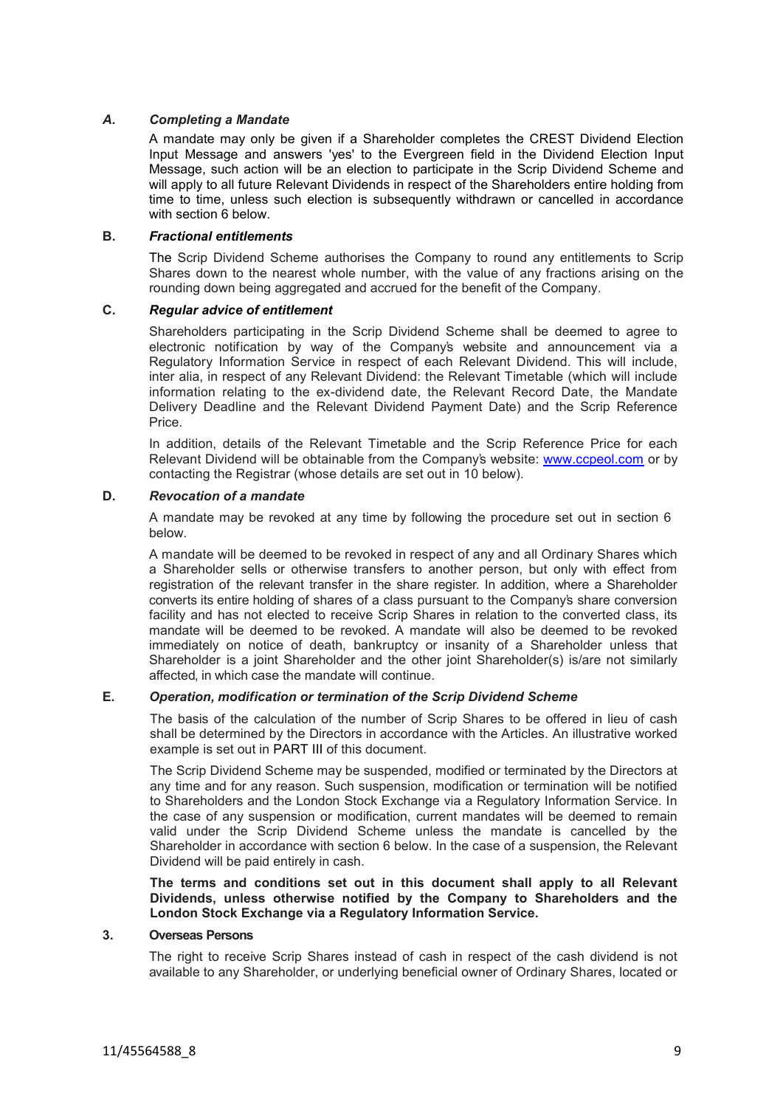## *A. Completing a Mandate*

A mandate may only be given if a Shareholder completes the CREST Dividend Election Input Message and answers 'yes' to the Evergreen field in the Dividend Election Input Message, such action will be an election to participate in the Scrip Dividend Scheme and will apply to all future Relevant Dividends in respect of the Shareholders entire holding from time to time, unless such election is subsequently withdrawn or cancelled in accordance with section [6](#page-9-0) below.

### **B.** *Fractional entitlements*

The Scrip Dividend Scheme authorises the Company to round any entitlements to Scrip Shares down to the nearest whole number, with the value of any fractions arising on the rounding down being aggregated and accrued for the benefit of the Company.

## **C.** *Regular advice of entitlement*

Shareholders participating in the Scrip Dividend Scheme shall be deemed to agree to electronic notification by way of the Company's website and announcement via a Regulatory Information Service in respect of each Relevant Dividend. This will include, inter alia, in respect of any Relevant Dividend: the Relevant Timetable (which will include information relating to the ex-dividend date, the Relevant Record Date, the Mandate Delivery Deadline and the Relevant Dividend Payment Date) and the Scrip Reference Price.

In addition, details of the Relevant Timetable and the Scrip Reference Price for each Relevant Dividend will be obtainable from the Company's website: [www.ccpeol.com](http://www.ccpeol.com/) or by contacting the Registrar (whose details are set out in 10 below).

## **D.** *Revocation of a mandate*

A mandate may be revoked at any time by following the procedure set out in section [6](#page-9-0) below.

A mandate will be deemed to be revoked in respect of any and all Ordinary Shares which a Shareholder sells or otherwise transfers to another person, but only with effect from registration of the relevant transfer in the share register. In addition, where a Shareholder converts its entire holding of shares of a class pursuant to the Company's share conversion facility and has not elected to receive Scrip Shares in relation to the converted class, its mandate will be deemed to be revoked. A mandate will also be deemed to be revoked immediately on notice of death, bankruptcy or insanity of a Shareholder unless that Shareholder is a joint Shareholder and the other joint Shareholder(s) is/are not similarly affected, in which case the mandate will continue.

## **E.** *Operation, modification or termination of the Scrip Dividend Scheme*

The basis of the calculation of the number of Scrip Shares to be offered in lieu of cash shall be determined by the Directors in accordance with the Articles. An illustrative worked example is set out in [PART III](#page-13-0) of this document.

The Scrip Dividend Scheme may be suspended, modified or terminated by the Directors at any time and for any reason. Such suspension, modification or termination will be notified to Shareholders and the London Stock Exchange via a Regulatory Information Service. In the case of any suspension or modification, current mandates will be deemed to remain valid under the Scrip Dividend Scheme unless the mandate is cancelled by the Shareholder in accordance with section [6](#page-9-0) below. In the case of a suspension, the Relevant Dividend will be paid entirely in cash.

**The terms and conditions set out in this document shall apply to all Relevant Dividends, unless otherwise notified by the Company to Shareholders and the London Stock Exchange via a Regulatory Information Service.**

### **3. Overseas Persons**

The right to receive Scrip Shares instead of cash in respect of the cash dividend is not available to any Shareholder, or underlying beneficial owner of Ordinary Shares, located or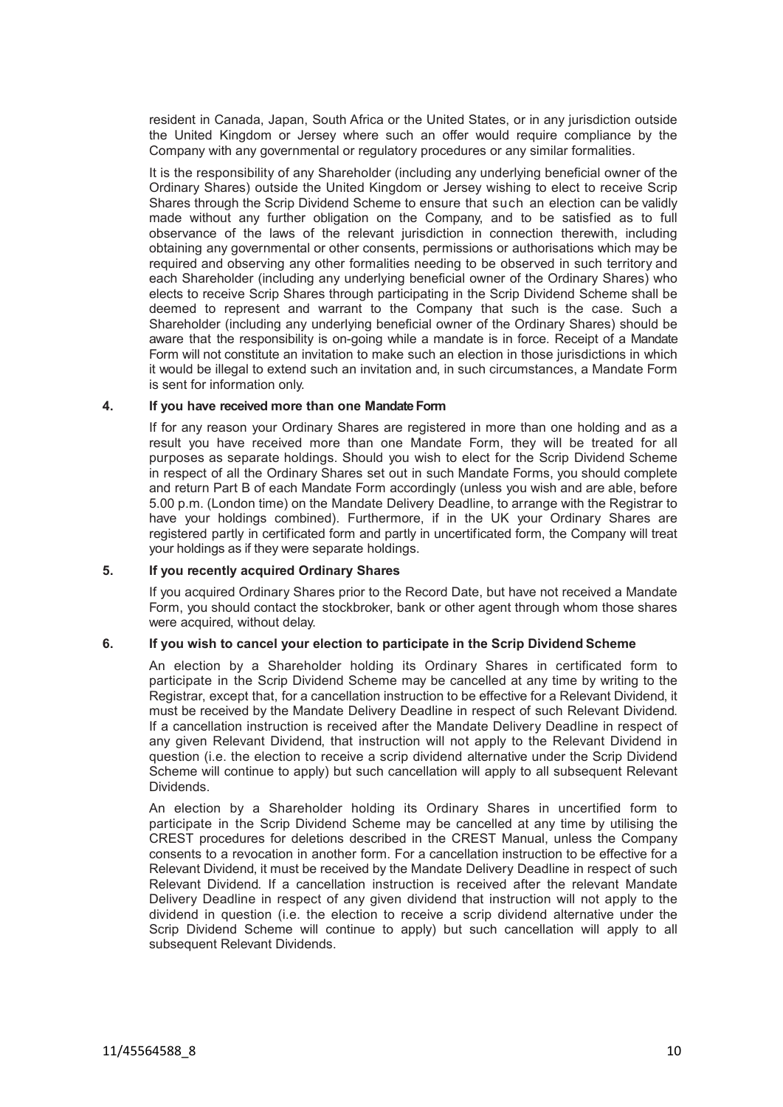resident in Canada, Japan, South Africa or the United States, or in any jurisdiction outside the United Kingdom or Jersey where such an offer would require compliance by the Company with any governmental or regulatory procedures or any similar formalities.

It is the responsibility of any Shareholder (including any underlying beneficial owner of the Ordinary Shares) outside the United Kingdom or Jersey wishing to elect to receive Scrip Shares through the Scrip Dividend Scheme to ensure that such an election can be validly made without any further obligation on the Company, and to be satisfied as to full observance of the laws of the relevant jurisdiction in connection therewith, including obtaining any governmental or other consents, permissions or authorisations which may be required and observing any other formalities needing to be observed in such territory and each Shareholder (including any underlying beneficial owner of the Ordinary Shares) who elects to receive Scrip Shares through participating in the Scrip Dividend Scheme shall be deemed to represent and warrant to the Company that such is the case. Such a Shareholder (including any underlying beneficial owner of the Ordinary Shares) should be aware that the responsibility is on-going while a mandate is in force. Receipt of a Mandate Form will not constitute an invitation to make such an election in those jurisdictions in which it would be illegal to extend such an invitation and, in such circumstances, a Mandate Form is sent for information only.

### **4. If you have received more than one Mandate Form**

If for any reason your Ordinary Shares are registered in more than one holding and as a result you have received more than one Mandate Form, they will be treated for all purposes as separate holdings. Should you wish to elect for the Scrip Dividend Scheme in respect of all the Ordinary Shares set out in such Mandate Forms, you should complete and return Part B of each Mandate Form accordingly (unless you wish and are able, before 5.00 p.m. (London time) on the Mandate Delivery Deadline, to arrange with the Registrar to have your holdings combined). Furthermore, if in the UK your Ordinary Shares are registered partly in certificated form and partly in uncertificated form, the Company will treat your holdings as if they were separate holdings.

## **5. If you recently acquired Ordinary Shares**

If you acquired Ordinary Shares prior to the Record Date, but have not received a Mandate Form, you should contact the stockbroker, bank or other agent through whom those shares were acquired, without delay.

## **6. If you wish to cancel your election to participate in the Scrip Dividend Scheme**

<span id="page-9-0"></span>An election by a Shareholder holding its Ordinary Shares in certificated form to participate in the Scrip Dividend Scheme may be cancelled at any time by writing to the Registrar, except that, for a cancellation instruction to be effective for a Relevant Dividend, it must be received by the Mandate Delivery Deadline in respect of such Relevant Dividend. If a cancellation instruction is received after the Mandate Delivery Deadline in respect of any given Relevant Dividend, that instruction will not apply to the Relevant Dividend in question (i.e. the election to receive a scrip dividend alternative under the Scrip Dividend Scheme will continue to apply) but such cancellation will apply to all subsequent Relevant Dividends.

An election by a Shareholder holding its Ordinary Shares in uncertified form to participate in the Scrip Dividend Scheme may be cancelled at any time by utilising the CREST procedures for deletions described in the CREST Manual, unless the Company consents to a revocation in another form. For a cancellation instruction to be effective for a Relevant Dividend, it must be received by the Mandate Delivery Deadline in respect of such Relevant Dividend. If a cancellation instruction is received after the relevant Mandate Delivery Deadline in respect of any given dividend that instruction will not apply to the dividend in question (i.e. the election to receive a scrip dividend alternative under the Scrip Dividend Scheme will continue to apply) but such cancellation will apply to all subsequent Relevant Dividends.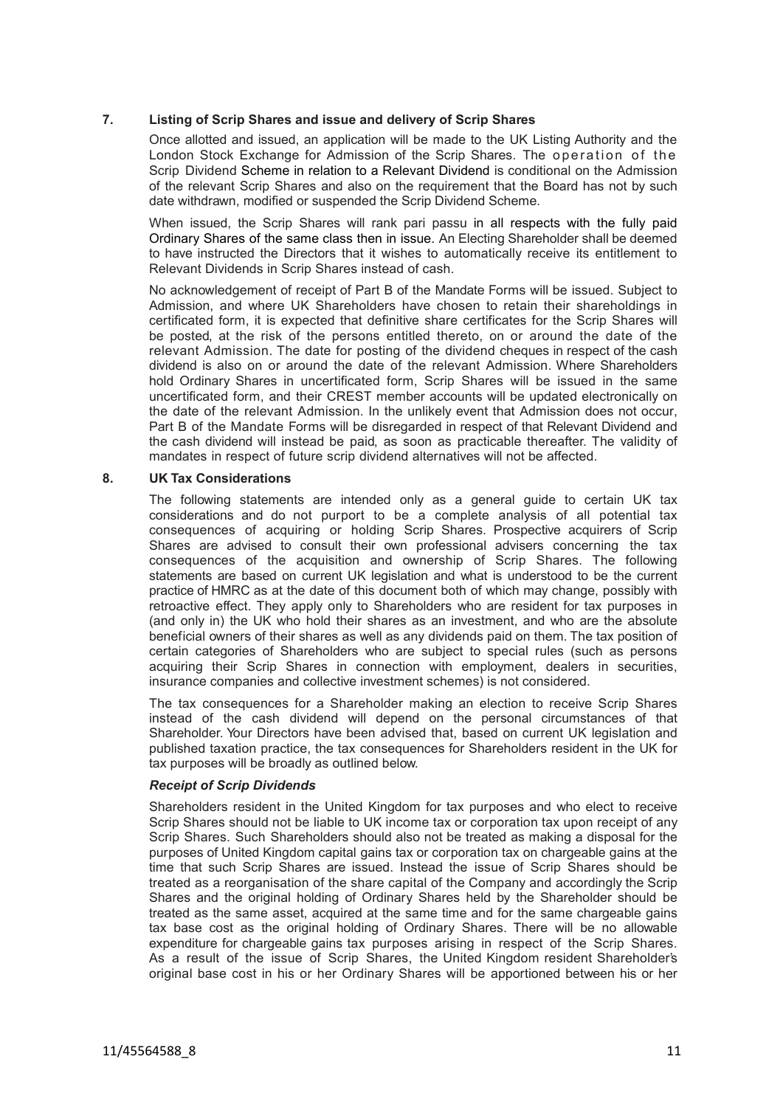## **7. Listing of Scrip Shares and issue and delivery of Scrip Shares**

Once allotted and issued, an application will be made to the UK Listing Authority and the London Stock Exchange for Admission of the Scrip Shares. The operation of the Scrip Dividend Scheme in relation to a Relevant Dividend is conditional on the Admission of the relevant Scrip Shares and also on the requirement that the Board has not by such date withdrawn, modified or suspended the Scrip Dividend Scheme.

When issued, the Scrip Shares will rank pari passu in all respects with the fully paid Ordinary Shares of the same class then in issue. An Electing Shareholder shall be deemed to have instructed the Directors that it wishes to automatically receive its entitlement to Relevant Dividends in Scrip Shares instead of cash.

No acknowledgement of receipt of Part B of the Mandate Forms will be issued. Subject to Admission, and where UK Shareholders have chosen to retain their shareholdings in certificated form, it is expected that definitive share certificates for the Scrip Shares will be posted, at the risk of the persons entitled thereto, on or around the date of the relevant Admission. The date for posting of the dividend cheques in respect of the cash dividend is also on or around the date of the relevant Admission. Where Shareholders hold Ordinary Shares in uncertificated form, Scrip Shares will be issued in the same uncertificated form, and their CREST member accounts will be updated electronically on the date of the relevant Admission. In the unlikely event that Admission does not occur, Part B of the Mandate Forms will be disregarded in respect of that Relevant Dividend and the cash dividend will instead be paid, as soon as practicable thereafter. The validity of mandates in respect of future scrip dividend alternatives will not be affected.

### **8. UK Tax Considerations**

The following statements are intended only as a general guide to certain UK tax considerations and do not purport to be a complete analysis of all potential tax consequences of acquiring or holding Scrip Shares. Prospective acquirers of Scrip Shares are advised to consult their own professional advisers concerning the tax consequences of the acquisition and ownership of Scrip Shares. The following statements are based on current UK legislation and what is understood to be the current practice of HMRC as at the date of this document both of which may change, possibly with retroactive effect. They apply only to Shareholders who are resident for tax purposes in (and only in) the UK who hold their shares as an investment, and who are the absolute beneficial owners of their shares as well as any dividends paid on them. The tax position of certain categories of Shareholders who are subject to special rules (such as persons acquiring their Scrip Shares in connection with employment, dealers in securities, insurance companies and collective investment schemes) is not considered.

The tax consequences for a Shareholder making an election to receive Scrip Shares instead of the cash dividend will depend on the personal circumstances of that Shareholder. Your Directors have been advised that, based on current UK legislation and published taxation practice, the tax consequences for Shareholders resident in the UK for tax purposes will be broadly as outlined below.

## *Receipt of Scrip Dividends*

Shareholders resident in the United Kingdom for tax purposes and who elect to receive Scrip Shares should not be liable to UK income tax or corporation tax upon receipt of any Scrip Shares. Such Shareholders should also not be treated as making a disposal for the purposes of United Kingdom capital gains tax or corporation tax on chargeable gains at the time that such Scrip Shares are issued. Instead the issue of Scrip Shares should be treated as a reorganisation of the share capital of the Company and accordingly the Scrip Shares and the original holding of Ordinary Shares held by the Shareholder should be treated as the same asset, acquired at the same time and for the same chargeable gains tax base cost as the original holding of Ordinary Shares. There will be no allowable expenditure for chargeable gains tax purposes arising in respect of the Scrip Shares. As a result of the issue of Scrip Shares, the United Kingdom resident Shareholder's original base cost in his or her Ordinary Shares will be apportioned between his or her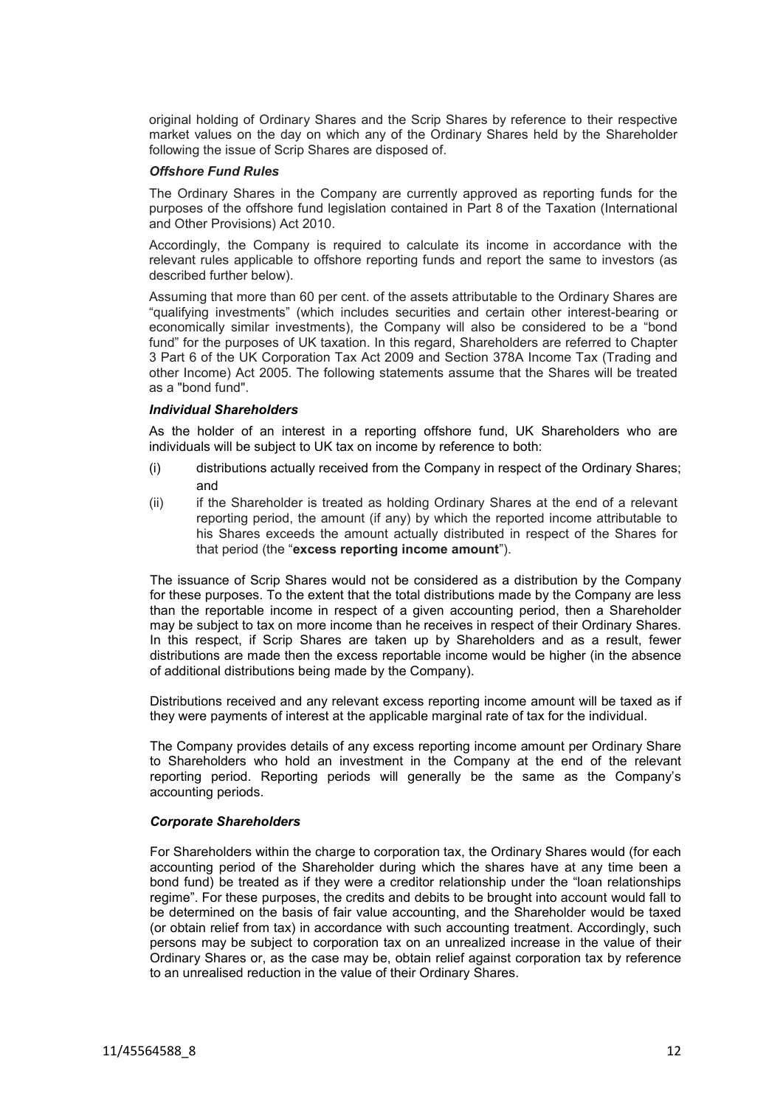original holding of Ordinary Shares and the Scrip Shares by reference to their respective market values on the day on which any of the Ordinary Shares held by the Shareholder following the issue of Scrip Shares are disposed of.

### *Offshore Fund Rules*

The Ordinary Shares in the Company are currently approved as reporting funds for the purposes of the offshore fund legislation contained in Part 8 of the Taxation (International and Other Provisions) Act 2010.

Accordingly, the Company is required to calculate its income in accordance with the relevant rules applicable to offshore reporting funds and report the same to investors (as described further below).

Assuming that more than 60 per cent. of the assets attributable to the Ordinary Shares are "qualifying investments" (which includes securities and certain other interest-bearing or economically similar investments), the Company will also be considered to be a "bond fund" for the purposes of UK taxation. In this regard, Shareholders are referred to Chapter 3 Part 6 of the UK Corporation Tax Act 2009 and Section 378A Income Tax (Trading and other Income) Act 2005. The following statements assume that the Shares will be treated as a "bond fund".

## *Individual Shareholders*

As the holder of an interest in a reporting offshore fund, UK Shareholders who are individuals will be subject to UK tax on income by reference to both:

- (i) distributions actually received from the Company in respect of the Ordinary Shares; and
- (ii) if the Shareholder is treated as holding Ordinary Shares at the end of a relevant reporting period, the amount (if any) by which the reported income attributable to his Shares exceeds the amount actually distributed in respect of the Shares for that period (the "**excess reporting income amount**").

The issuance of Scrip Shares would not be considered as a distribution by the Company for these purposes. To the extent that the total distributions made by the Company are less than the reportable income in respect of a given accounting period, then a Shareholder may be subject to tax on more income than he receives in respect of their Ordinary Shares. In this respect, if Scrip Shares are taken up by Shareholders and as a result, fewer distributions are made then the excess reportable income would be higher (in the absence of additional distributions being made by the Company).

Distributions received and any relevant excess reporting income amount will be taxed as if they were payments of interest at the applicable marginal rate of tax for the individual.

The Company provides details of any excess reporting income amount per Ordinary Share to Shareholders who hold an investment in the Company at the end of the relevant reporting period. Reporting periods will generally be the same as the Company's accounting periods.

## *Corporate Shareholders*

For Shareholders within the charge to corporation tax, the Ordinary Shares would (for each accounting period of the Shareholder during which the shares have at any time been a bond fund) be treated as if they were a creditor relationship under the "loan relationships regime". For these purposes, the credits and debits to be brought into account would fall to be determined on the basis of fair value accounting, and the Shareholder would be taxed (or obtain relief from tax) in accordance with such accounting treatment. Accordingly, such persons may be subject to corporation tax on an unrealized increase in the value of their Ordinary Shares or, as the case may be, obtain relief against corporation tax by reference to an unrealised reduction in the value of their Ordinary Shares.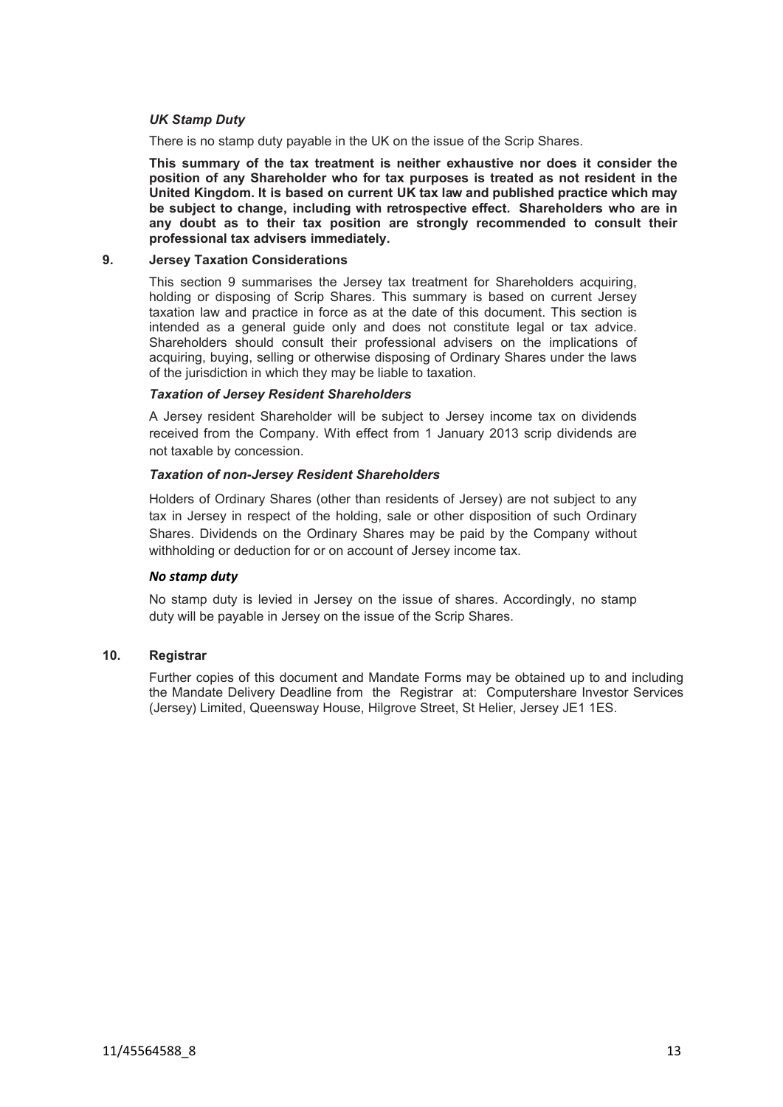## *UK Stamp Duty*

There is no stamp duty payable in the UK on the issue of the Scrip Shares.

**This summary of the tax treatment is neither exhaustive nor does it consider the position of any Shareholder who for tax purposes is treated as not resident in the United Kingdom. It is based on current UK tax law and published practice which may be subject to change, including with retrospective effect. Shareholders who are in any doubt as to their tax position are strongly recommended to consult their professional tax advisers immediately.**

#### **9. Jersey Taxation Considerations**

<span id="page-12-1"></span>This section [9](#page-12-1) summarises the Jersey tax treatment for Shareholders acquiring, holding or disposing of Scrip Shares. This summary is based on current Jersey taxation law and practice in force as at the date of this document. This section is intended as a general guide only and does not constitute legal or tax advice. Shareholders should consult their professional advisers on the implications of acquiring, buying, selling or otherwise disposing of Ordinary Shares under the laws of the jurisdiction in which they may be liable to taxation.

### *Taxation of Jersey Resident Shareholders*

A Jersey resident Shareholder will be subject to Jersey income tax on dividends received from the Company. With effect from 1 January 2013 scrip dividends are not taxable by concession.

### *Taxation of non-Jersey Resident Shareholders*

Holders of Ordinary Shares (other than residents of Jersey) are not subject to any tax in Jersey in respect of the holding, sale or other disposition of such Ordinary Shares. Dividends on the Ordinary Shares may be paid by the Company without withholding or deduction for or on account of Jersey income tax.

### *No stamp duty*

No stamp duty is levied in Jersey on the issue of shares. Accordingly, no stamp duty will be payable in Jersey on the issue of the Scrip Shares.

## **10. Registrar**

<span id="page-12-0"></span>Further copies of this document and Mandate Forms may be obtained up to and including the Mandate Delivery Deadline from the Registrar at: Computershare Investor Services (Jersey) Limited, Queensway House, Hilgrove Street, St Helier, Jersey JE1 1ES.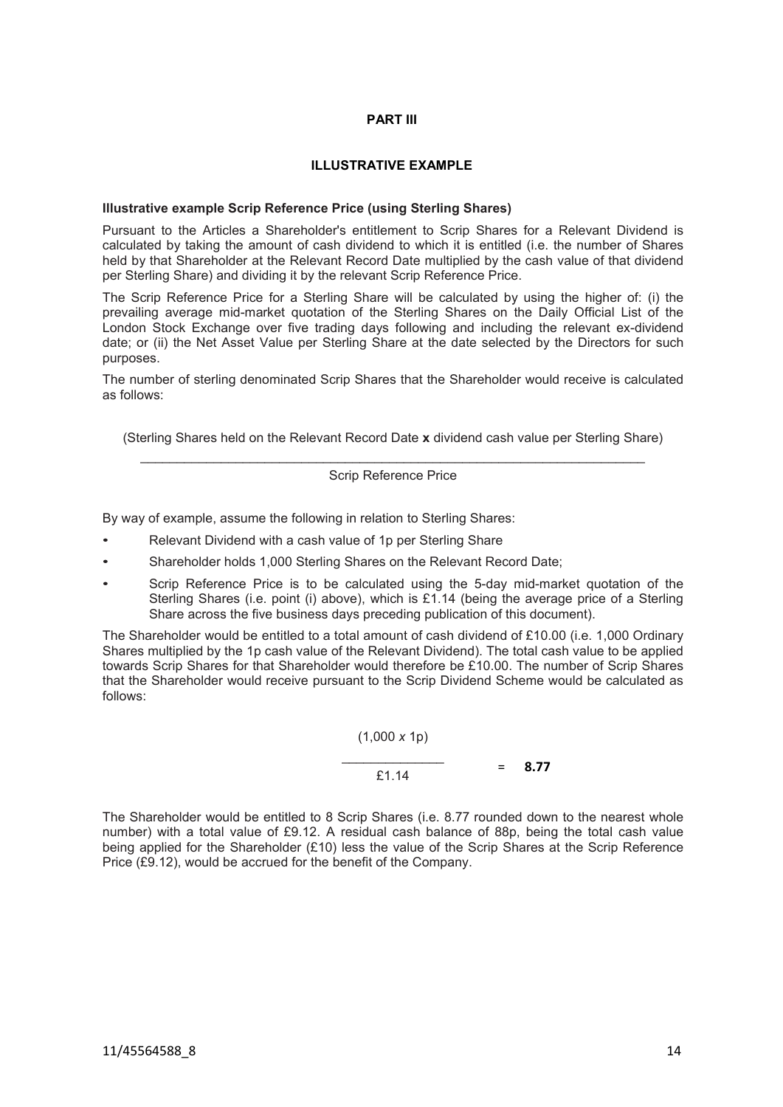### <span id="page-13-0"></span>**PART III**

## **ILLUSTRATIVE EXAMPLE**

### **Illustrative example Scrip Reference Price (using Sterling Shares)**

Pursuant to the Articles a Shareholder's entitlement to Scrip Shares for a Relevant Dividend is calculated by taking the amount of cash dividend to which it is entitled (i.e. the number of Shares held by that Shareholder at the Relevant Record Date multiplied by the cash value of that dividend per Sterling Share) and dividing it by the relevant Scrip Reference Price.

The Scrip Reference Price for a Sterling Share will be calculated by using the higher of: (i) the prevailing average mid-market quotation of the Sterling Shares on the Daily Official List of the London Stock Exchange over five trading days following and including the relevant ex-dividend date; or (ii) the Net Asset Value per Sterling Share at the date selected by the Directors for such purposes.

The number of sterling denominated Scrip Shares that the Shareholder would receive is calculated as follows:

(Sterling Shares held on the Relevant Record Date **x** dividend cash value per Sterling Share)

 $\_$  , and the set of the set of the set of the set of the set of the set of the set of the set of the set of the set of the set of the set of the set of the set of the set of the set of the set of the set of the set of th Scrip Reference Price

By way of example, assume the following in relation to Sterling Shares:

- Relevant Dividend with a cash value of 1p per Sterling Share
- Shareholder holds 1,000 Sterling Shares on the Relevant Record Date;
- Scrip Reference Price is to be calculated using the 5-day mid-market quotation of the Sterling Shares (i.e. point (i) above), which is £1.14 (being the average price of a Sterling Share across the five business days preceding publication of this document).

The Shareholder would be entitled to a total amount of cash dividend of £10.00 (i.e. 1,000 Ordinary Shares multiplied by the 1p cash value of the Relevant Dividend). The total cash value to be applied towards Scrip Shares for that Shareholder would therefore be £10.00. The number of Scrip Shares that the Shareholder would receive pursuant to the Scrip Dividend Scheme would be calculated as follows:

$$
\frac{(1,000 \times 1p)}{2 \times 1.14} = 8.77
$$

The Shareholder would be entitled to 8 Scrip Shares (i.e. 8.77 rounded down to the nearest whole number) with a total value of £9.12. A residual cash balance of 88p, being the total cash value being applied for the Shareholder (£10) less the value of the Scrip Shares at the Scrip Reference Price (£9.12), would be accrued for the benefit of the Company.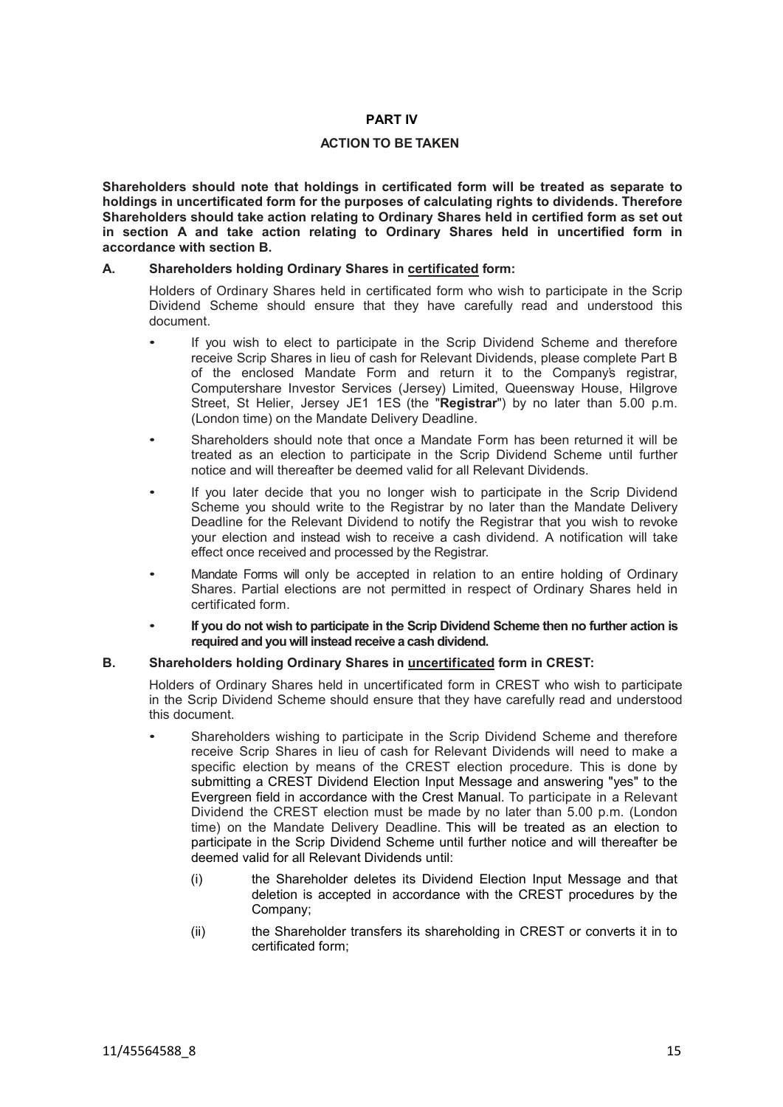## <span id="page-14-0"></span>**PART IV**

## **ACTION TO BE TAKEN**

**Shareholders should note that holdings in certificated form will be treated as separate to holdings in uncertificated form for the purposes of calculating rights to dividends. Therefore Shareholders should take action relating to Ordinary Shares held in certified form as set out in section A and take action relating to Ordinary Shares held in uncertified form in accordance with section B.**

### **A. Shareholders holding Ordinary Shares in certificated form:**

Holders of Ordinary Shares held in certificated form who wish to participate in the Scrip Dividend Scheme should ensure that they have carefully read and understood this document.

- If you wish to elect to participate in the Scrip Dividend Scheme and therefore receive Scrip Shares in lieu of cash for Relevant Dividends, please complete Part B of the enclosed Mandate Form and return it to the Company's registrar, Computershare Investor Services (Jersey) Limited, Queensway House, Hilgrove Street, St Helier, Jersey JE1 1ES (the "**Registrar**") by no later than 5.00 p.m. (London time) on the Mandate Delivery Deadline.
- Shareholders should note that once a Mandate Form has been returned it will be treated as an election to participate in the Scrip Dividend Scheme until further notice and will thereafter be deemed valid for all Relevant Dividends.
- If you later decide that you no longer wish to participate in the Scrip Dividend Scheme you should write to the Registrar by no later than the Mandate Delivery Deadline for the Relevant Dividend to notify the Registrar that you wish to revoke your election and instead wish to receive a cash dividend. A notification will take effect once received and processed by the Registrar.
- Mandate Forms will only be accepted in relation to an entire holding of Ordinary Shares. Partial elections are not permitted in respect of Ordinary Shares held in certificated form.
- **If you do not wish to participate in the Scrip Dividend Scheme then no further action is required and you will instead receive a cash dividend.**

## **B. Shareholders holding Ordinary Shares in uncertificated form in CREST:**

Holders of Ordinary Shares held in uncertificated form in CREST who wish to participate in the Scrip Dividend Scheme should ensure that they have carefully read and understood this document.

- Shareholders wishing to participate in the Scrip Dividend Scheme and therefore receive Scrip Shares in lieu of cash for Relevant Dividends will need to make a specific election by means of the CREST election procedure. This is done by submitting a CREST Dividend Election Input Message and answering "yes" to the Evergreen field in accordance with the Crest Manual. To participate in a Relevant Dividend the CREST election must be made by no later than 5.00 p.m. (London time) on the Mandate Delivery Deadline. This will be treated as an election to participate in the Scrip Dividend Scheme until further notice and will thereafter be deemed valid for all Relevant Dividends until:
	- (i) the Shareholder deletes its Dividend Election Input Message and that deletion is accepted in accordance with the CREST procedures by the Company;
	- (ii) the Shareholder transfers its shareholding in CREST or converts it in to certificated form;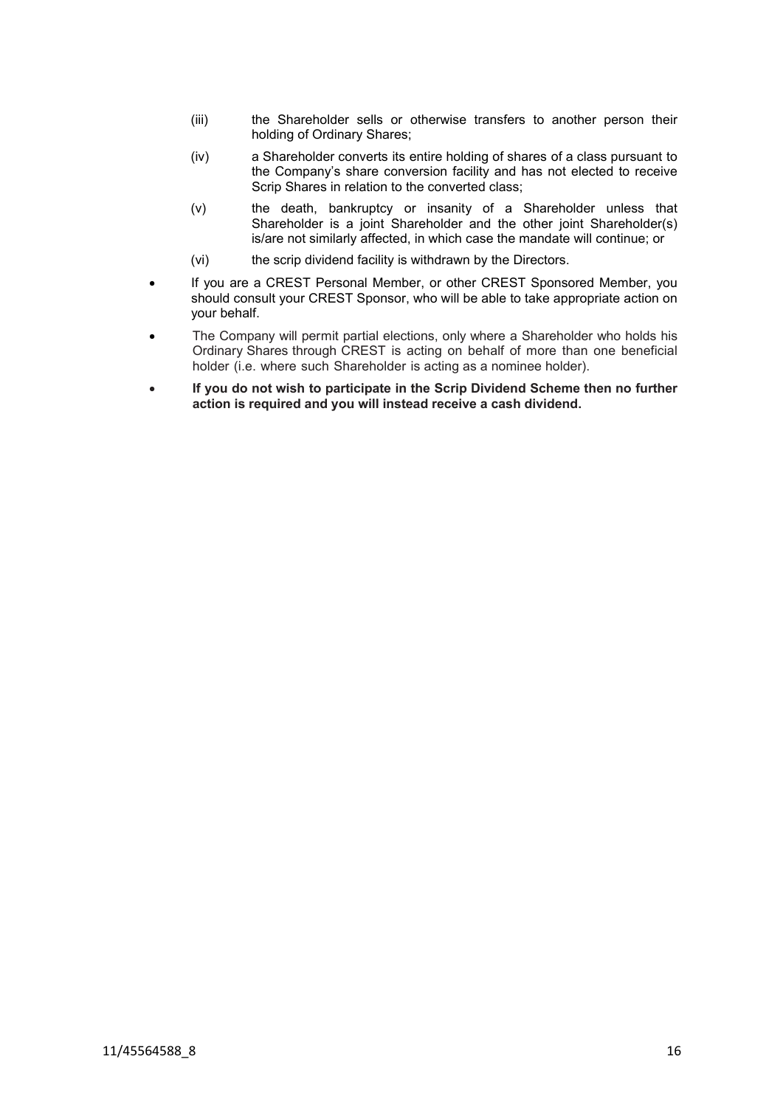- (iii) the Shareholder sells or otherwise transfers to another person their holding of Ordinary Shares;
- (iv) a Shareholder converts its entire holding of shares of a class pursuant to the Company's share conversion facility and has not elected to receive Scrip Shares in relation to the converted class;
- (v) the death, bankruptcy or insanity of a Shareholder unless that Shareholder is a joint Shareholder and the other joint Shareholder(s) is/are not similarly affected, in which case the mandate will continue; or
- (vi) the scrip dividend facility is withdrawn by the Directors.
- If you are a CREST Personal Member, or other CREST Sponsored Member, you should consult your CREST Sponsor, who will be able to take appropriate action on your behalf.
- The Company will permit partial elections, only where a Shareholder who holds his Ordinary Shares through CREST is acting on behalf of more than one beneficial holder (i.e. where such Shareholder is acting as a nominee holder).
- **If you do not wish to participate in the Scrip Dividend Scheme then no further action is required and you will instead receive a cash dividend.**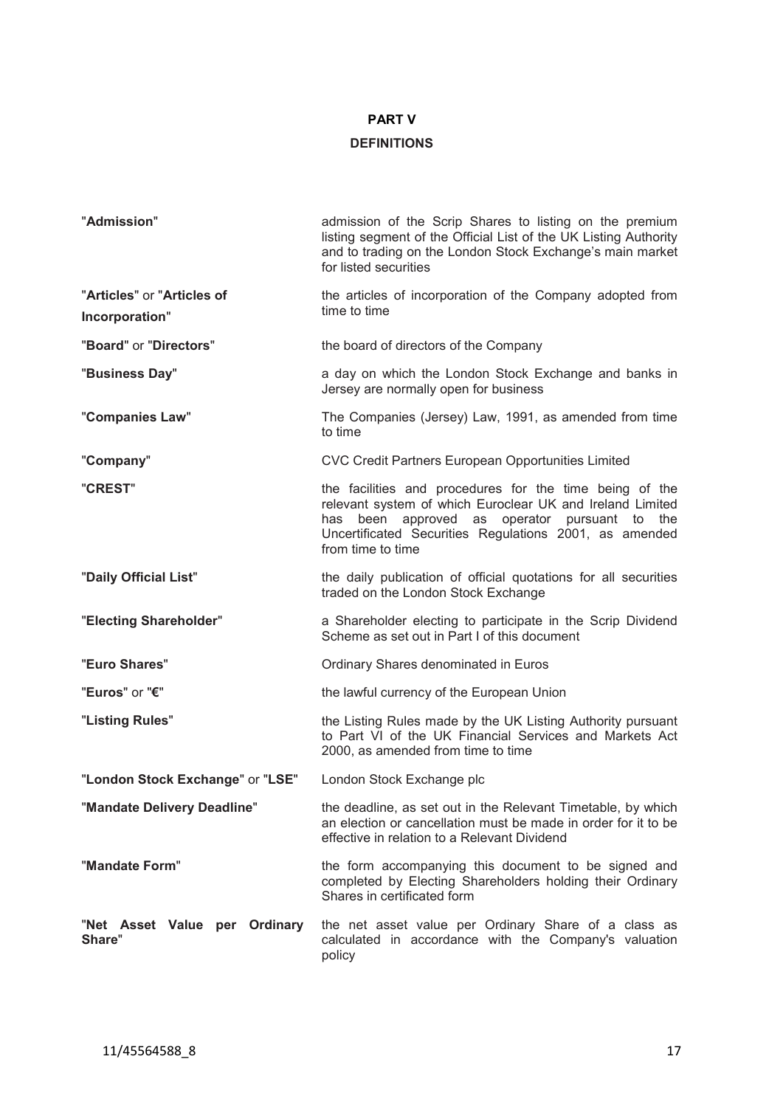# <span id="page-16-0"></span>**PART V**

# **DEFINITIONS**

| "Admission"                                  | admission of the Scrip Shares to listing on the premium<br>listing segment of the Official List of the UK Listing Authority<br>and to trading on the London Stock Exchange's main market<br>for listed securities                                       |
|----------------------------------------------|---------------------------------------------------------------------------------------------------------------------------------------------------------------------------------------------------------------------------------------------------------|
| "Articles" or "Articles of<br>Incorporation" | the articles of incorporation of the Company adopted from<br>time to time                                                                                                                                                                               |
| "Board" or "Directors"                       | the board of directors of the Company                                                                                                                                                                                                                   |
| "Business Day"                               | a day on which the London Stock Exchange and banks in<br>Jersey are normally open for business                                                                                                                                                          |
| "Companies Law"                              | The Companies (Jersey) Law, 1991, as amended from time<br>to time                                                                                                                                                                                       |
| "Company"                                    | CVC Credit Partners European Opportunities Limited                                                                                                                                                                                                      |
| "CREST"                                      | the facilities and procedures for the time being of the<br>relevant system of which Euroclear UK and Ireland Limited<br>has been approved as operator pursuant to<br>the<br>Uncertificated Securities Regulations 2001, as amended<br>from time to time |
| "Daily Official List"                        | the daily publication of official quotations for all securities<br>traded on the London Stock Exchange                                                                                                                                                  |
| "Electing Shareholder"                       | a Shareholder electing to participate in the Scrip Dividend<br>Scheme as set out in Part I of this document                                                                                                                                             |
| "Euro Shares"                                | Ordinary Shares denominated in Euros                                                                                                                                                                                                                    |
| "Euros" or "€"                               | the lawful currency of the European Union                                                                                                                                                                                                               |
| "Listing Rules"                              | the Listing Rules made by the UK Listing Authority pursuant<br>to Part VI of the UK Financial Services and Markets Act<br>2000, as amended from time to time                                                                                            |
| "London Stock Exchange" or "LSE"             | London Stock Exchange plc                                                                                                                                                                                                                               |
| "Mandate Delivery Deadline"                  | the deadline, as set out in the Relevant Timetable, by which<br>an election or cancellation must be made in order for it to be<br>effective in relation to a Relevant Dividend                                                                          |
| "Mandate Form"                               | the form accompanying this document to be signed and<br>completed by Electing Shareholders holding their Ordinary<br>Shares in certificated form                                                                                                        |
| "Net Asset Value per Ordinary<br>Share"      | the net asset value per Ordinary Share of a class as<br>calculated in accordance with the Company's valuation<br>policy                                                                                                                                 |